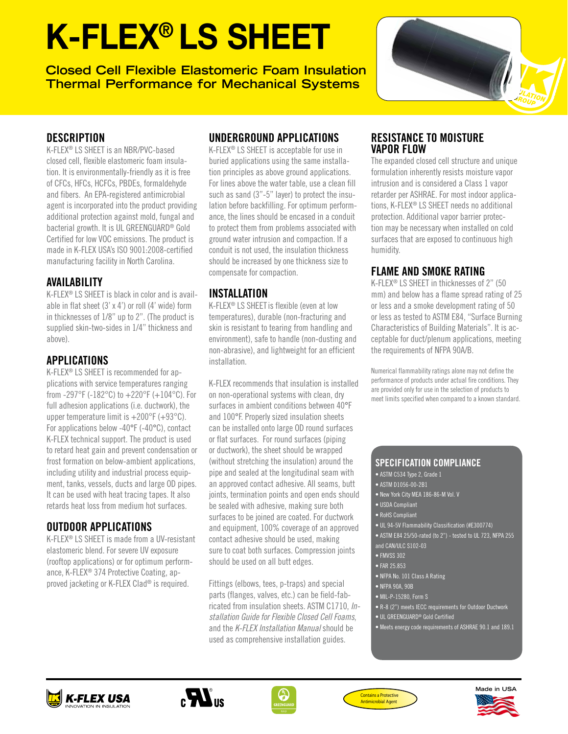# K-FLEX® LS SHEET

**Closed Cell Flexible Elastomeric Foam Insulation Thermal Performance for Mechanical Systems**



### **DESCRIPTION**

K-FLEX® LS SHEET is an NBR/PVC-based closed cell, flexible elastomeric foam insulation. It is environmentally-friendly as it is free of CFCs, HFCs, HCFCs, PBDEs, formaldehyde and fibers. An EPA-registered antimicrobial agent is incorporated into the product providing additional protection against mold, fungal and bacterial growth. It is UL GREENGUARD® Gold Certified for low VOC emissions. The product is made in K-FLEX USA's ISO 9001:2008-certified manufacturing facility in North Carolina.

### AVAILABILITY

K-FLEX® LS SHEET is black in color and is available in flat sheet (3' x 4') or roll (4' wide) form in thicknesses of 1/8" up to 2". (The product is supplied skin-two-sides in 1/4" thickness and above).

## APPLICATIONS

K-FLEX® LS SHEET is recommended for applications with service temperatures ranging from -297°F (-182°C) to  $+220$ °F (+104°C). For full adhesion applications (i.e. ductwork), the upper temperature limit is +200°F (+93°C). For applications below -40°F (-40°C), contact K-FLEX technical support. The product is used to retard heat gain and prevent condensation or frost formation on below-ambient applications, including utility and industrial process equipment, tanks, vessels, ducts and large OD pipes. It can be used with heat tracing tapes. It also retards heat loss from medium hot surfaces.

# OUTDOOR APPLICATIONS

K-FLEX® LS SHEET is made from a UV-resistant elastomeric blend. For severe UV exposure (rooftop applications) or for optimum performance, K-FLEX® 374 Protective Coating, approved jacketing or K-FLEX Clad® is required.

# UNDERGROUND APPLICATIONS

K-FLEX® LS SHEET is acceptable for use in buried applications using the same installation principles as above ground applications. For lines above the water table, use a clean fill such as sand (3"-5" layer) to protect the insulation before backfilling. For optimum performance, the lines should be encased in a conduit to protect them from problems associated with ground water intrusion and compaction. If a conduit is not used, the insulation thickness should be increased by one thickness size to compensate for compaction.

## INSTALLATION

K-FLEX® LS SHEETis flexible (even at low temperatures), durable (non-fracturing and skin is resistant to tearing from handling and environment), safe to handle (non-dusting and non-abrasive), and lightweight for an efficient installation.

K-FLEX recommends that insulation is installed on non-operational systems with clean, dry surfaces in ambient conditions between 40°F and 100°F. Properly sized insulation sheets can be installed onto large OD round surfaces or flat surfaces. For round surfaces (piping or ductwork), the sheet should be wrapped (without stretching the insulation) around the pipe and sealed at the longitudinal seam with an approved contact adhesive. All seams, butt joints, termination points and open ends should be sealed with adhesive, making sure both surfaces to be joined are coated. For ductwork and equipment, 100% coverage of an approved contact adhesive should be used, making sure to coat both surfaces. Compression joints should be used on all butt edges.

Fittings (elbows, tees, p-traps) and special parts (flanges, valves, etc.) can be field-fabricated from insulation sheets. ASTM C1710, *Installation Guide for Flexible Closed Cell Foams*, and the *K-FLEX Installation Manual* should be used as comprehensive installation guides.

#### RESISTANCE TO MOISTURE VAPOR FLOW

The expanded closed cell structure and unique formulation inherently resists moisture vapor intrusion and is considered a Class 1 vapor retarder per ASHRAE. For most indoor applications, K-FLEX® LS SHEET needs no additional protection. Additional vapor barrier protection may be necessary when installed on cold surfaces that are exposed to continuous high humidity.

# FLAME AND SMOKE RATING

K-FLEX® LS SHEET in thicknesses of 2" (50 mm) and below has a flame spread rating of 25 or less and a smoke development rating of 50 or less as tested to ASTM E84, "Surface Burning Characteristics of Building Materials". It is acceptable for duct/plenum applications, meeting the requirements of NFPA 90A/B.

Numerical flammability ratings alone may not define the performance of products under actual fire conditions. They are provided only for use in the selection of products to meet limits specified when compared to a known standard.

#### SPECIFICATION COMPLIANCE

- ASTM C534 Type 2, Grade 1
- ASTM D1056-00-2B1
- New York City MEA 186-86-M Vol. V
- USDA Compliant
- RoHS Compliant
- UL 94-5V Flammability Classification (#E300774)
- ASTM E84 25/50-rated (to 2") tested to UL 723, NFPA 255
- and CAN/ULC S102-03
- FMVSS 302
- FAR 25.853
- NFPA No. 101 Class A Rating
- NFPA 90A, 90B
- MIL-P-15280, Form S
- R-8 (2") meets IECC requirements for Outdoor Ductwork
- UL GREENGUARD® Gold Certified
- Meets energy code requirements of ASHRAE 90.1 and 189.1